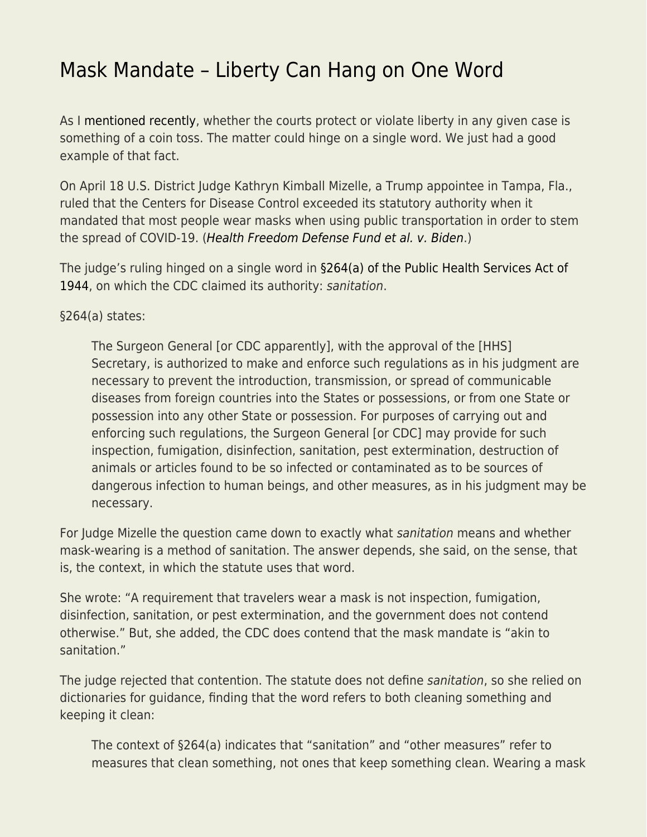## [Mask Mandate – Liberty Can Hang on One Word](https://everything-voluntary.com/mask-mandate-liberty-can-hang-on-one-word)

As I [mentioned recently](https://everything-voluntary.com/what-really-protects-liberty), whether the courts protect or violate liberty in any given case is something of a coin toss. The matter could hinge on a single word. We just had a good example of that fact.

On April 18 U.S. District Judge Kathryn Kimball Mizelle, a Trump appointee in Tampa, Fla., ruled that the Centers for Disease Control exceeded its statutory authority when it mandated that most people wear masks when using public transportation in order to stem the spread of COVID-19. ([Health Freedom Defense Fund et al. v. Biden](https://storage.courtlistener.com/recap/gov.uscourts.flmd.391798/gov.uscourts.flmd.391798.53.0_4.pdf).)

The judge's ruling hinged on a single word in [§264\(a\) of the Public Health Services Act of](https://www.law.cornell.edu/uscode/text/42/264) [1944](https://www.law.cornell.edu/uscode/text/42/264), on which the CDC claimed its authority: sanitation.

§264(a) states:

The Surgeon General [or CDC apparently], with the approval of the [HHS] Secretary, is authorized to make and enforce such regulations as in his judgment are necessary to prevent the introduction, transmission, or spread of communicable diseases from foreign countries into the States or possessions, or from one State or possession into any other State or possession. For purposes of carrying out and enforcing such regulations, the Surgeon General [or CDC] may provide for such inspection, fumigation, disinfection, sanitation, pest extermination, destruction of animals or articles found to be so infected or contaminated as to be sources of dangerous infection to human beings, and other measures, as in his judgment may be necessary.

For Judge Mizelle the question came down to exactly what sanitation means and whether mask-wearing is a method of sanitation. The answer depends, she said, on the sense, that is, the context, in which the statute uses that word.

She wrote: "A requirement that travelers wear a mask is not inspection, fumigation, disinfection, sanitation, or pest extermination, and the government does not contend otherwise." But, she added, the CDC does contend that the mask mandate is "akin to sanitation."

The judge rejected that contention. The statute does not define sanitation, so she relied on dictionaries for guidance, finding that the word refers to both cleaning something and keeping it clean:

The context of §264(a) indicates that "sanitation" and "other measures" refer to measures that clean something, not ones that keep something clean. Wearing a mask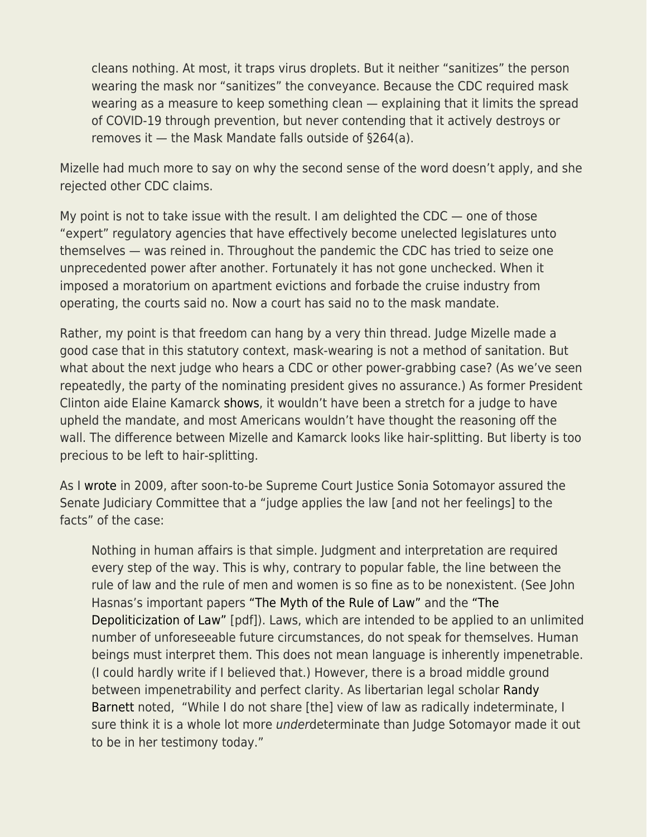cleans nothing. At most, it traps virus droplets. But it neither "sanitizes" the person wearing the mask nor "sanitizes" the conveyance. Because the CDC required mask wearing as a measure to keep something clean — explaining that it limits the spread of COVID-19 through prevention, but never contending that it actively destroys or removes it — the Mask Mandate falls outside of §264(a).

Mizelle had much more to say on why the second sense of the word doesn't apply, and she rejected other CDC claims.

My point is not to take issue with the result. I am delighted the CDC — one of those "expert" regulatory agencies that have effectively become unelected legislatures unto themselves — was reined in. Throughout the pandemic the CDC has tried to seize one unprecedented power after another. Fortunately it has not gone unchecked. When it imposed a moratorium on apartment evictions and forbade the cruise industry from operating, the courts said no. Now a court has said no to the mask mandate.

Rather, my point is that freedom can hang by a very thin thread. Judge Mizelle made a good case that in this statutory context, mask-wearing is not a method of sanitation. But what about the next judge who hears a CDC or other power-grabbing case? (As we've seen repeatedly, the party of the nominating president gives no assurance.) As former President Clinton aide Elaine Kamarck [shows](https://www.brookings.edu/blog/fixgov/2022/04/27/the-mask-mandate-decision-defies-common-sense/), it wouldn't have been a stretch for a judge to have upheld the mandate, and most Americans wouldn't have thought the reasoning off the wall. The difference between Mizelle and Kamarck looks like hair-splitting. But liberty is too precious to be left to hair-splitting.

As I [wrote](https://fee.org/articles/sotomayor-freedom-and-the-law/) in 2009, after soon-to-be Supreme Court Justice Sonia Sotomayor assured the Senate Judiciary Committee that a "judge applies the law [and not her feelings] to the facts" of the case:

Nothing in human affairs is that simple. Judgment and interpretation are required every step of the way. This is why, contrary to popular fable, the line between the rule of law and the rule of men and women is so fine as to be nonexistent. (See John Hasnas's important papers ["The Myth of the Rule of Law"](https://www.copblock.org/40719/myth-rule-law-john-hasnas/) and the ["The](https://www7.tau.ac.il/ojs/index.php/til/article/view/694/653) [Depoliticization of Law"](https://www7.tau.ac.il/ojs/index.php/til/article/view/694/653) [pdf]). Laws, which are intended to be applied to an unlimited number of unforeseeable future circumstances, do not speak for themselves. Human beings must interpret them. This does not mean language is inherently impenetrable. (I could hardly write if I believed that.) However, there is a broad middle ground between impenetrability and perfect clarity. As libertarian legal scholar [Randy](http://volokh.com/archives/archive_2009_07_12-2009_07_18.shtml#1247620080) [Barnett](http://volokh.com/archives/archive_2009_07_12-2009_07_18.shtml#1247620080) noted, "While I do not share [the] view of law as radically indeterminate, I sure think it is a whole lot more underdeterminate than Judge Sotomayor made it out to be in her testimony today."